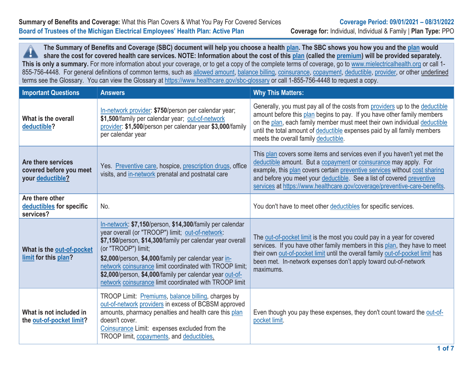**The Summary of Benefits and Coverage (SBC) document will help you choose a health plan. The SBC shows you how you and the plan would** A **share the cost for covered health care services. NOTE: Information about the cost of this plan (called the premium) will be provided separately.** This is only a summary. For more information about your coverage, or to get a copy of the complete terms of coverage, go to www.mielectricalhealth.org or call 1-855-756-4448. For general definitions of common terms, such as allowed amount, balance billing, coinsurance, copayment, deductible, provider, or other underlined terms see the Glossary. You can view the Glossary at https://www.healthcare.gov/sbc-glossary or call 1-855-756-4448 to request a copy.

| <b>Important Questions</b>                                        | <b>Answers</b>                                                                                                                                                                                                                                                                                                                                                                                                                            | <b>Why This Matters:</b>                                                                                                                                                                                                                                                                                                                                                         |
|-------------------------------------------------------------------|-------------------------------------------------------------------------------------------------------------------------------------------------------------------------------------------------------------------------------------------------------------------------------------------------------------------------------------------------------------------------------------------------------------------------------------------|----------------------------------------------------------------------------------------------------------------------------------------------------------------------------------------------------------------------------------------------------------------------------------------------------------------------------------------------------------------------------------|
| What is the overall<br>deductible?                                | In-network provider: \$750/person per calendar year;<br>\$1,500/family per calendar year; out-of-network<br>provider: \$1,500/person per calendar year \$3,000/family<br>per calendar year                                                                                                                                                                                                                                                | Generally, you must pay all of the costs from providers up to the deductible<br>amount before this plan begins to pay. If you have other family members<br>on the plan, each family member must meet their own individual deductible<br>until the total amount of deductible expenses paid by all family members<br>meets the overall family deductible.                         |
| Are there services<br>covered before you meet<br>your deductible? | Yes. Preventive care, hospice, prescription drugs, office<br>visits, and in-network prenatal and postnatal care                                                                                                                                                                                                                                                                                                                           | This plan covers some items and services even if you haven't yet met the<br>deductible amount. But a copayment or coinsurance may apply. For<br>example, this plan covers certain preventive services without cost sharing<br>and before you meet your deductible. See a list of covered preventive<br>services at https://www.healthcare.gov/coverage/preventive-care-benefits. |
| Are there other<br>deductibles for specific<br>services?          | No.                                                                                                                                                                                                                                                                                                                                                                                                                                       | You don't have to meet other deductibles for specific services.                                                                                                                                                                                                                                                                                                                  |
| What is the out-of-pocket<br>limit for this plan?                 | In-network: \$7,150/person, \$14,300/family per calendar<br>year overall (or "TROOP") limit; out-of-network:<br>\$7,150/person, \$14,300/family per calendar year overall<br>(or "TROOP") limit;<br>\$2,000/person, \$4,000/family per calendar year in-<br>network coinsurance limit coordinated with TROOP limit;<br>\$2,000/person, \$4,000/family per calendar year out-of-<br>network coinsurance limit coordinated with TROOP limit | The out-of-pocket limit is the most you could pay in a year for covered<br>services. If you have other family members in this plan, they have to meet<br>their own out-of-pocket limit until the overall family out-of-pocket limit has<br>been met. In-network expenses don't apply toward out-of-network<br>maximums.                                                          |
| What is not included in<br>the out-of-pocket limit?               | TROOP Limit: Premiums, balance billing, charges by<br>out-of-network providers in excess of BCBSM approved<br>amounts, pharmacy penalties and health care this plan<br>doesn't cover.<br>Coinsurance Limit: expenses excluded from the<br>TROOP limit, copayments, and deductibles.                                                                                                                                                       | Even though you pay these expenses, they don't count toward the out-of-<br>pocket limit.                                                                                                                                                                                                                                                                                         |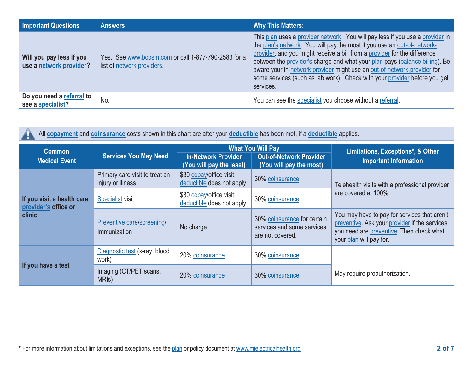| <b>Important Questions</b>                          | <b>Answers</b>                                                                    | <b>Why This Matters:</b>                                                                                                                                                                                                                                                                                                                                                                                                                                                                  |
|-----------------------------------------------------|-----------------------------------------------------------------------------------|-------------------------------------------------------------------------------------------------------------------------------------------------------------------------------------------------------------------------------------------------------------------------------------------------------------------------------------------------------------------------------------------------------------------------------------------------------------------------------------------|
| Will you pay less if you<br>use a network provider? | Yes. See www.bcbsm.com or call 1-877-790-2583 for a<br>list of network providers. | This plan uses a provider network. You will pay less if you use a provider in<br>the plan's network. You will pay the most if you use an out-of-network-<br>provider, and you might receive a bill from a provider for the difference<br>between the provider's charge and what your plan pays (balance billing). Be<br>aware your in-network provider might use an out-of-network-provider for<br>some services (such as lab work). Check with your provider before you get<br>services. |
| Do you need a referral to<br>see a specialist?      | No.                                                                               | You can see the specialist you choose without a referral.                                                                                                                                                                                                                                                                                                                                                                                                                                 |

| All copayment and coinsurance costs shown in this chart are after your deductible has been met, if a deductible applies. |                                                     |                                                                                                                                                 |                                                                               |                                                                                                                                                                      |  |  |
|--------------------------------------------------------------------------------------------------------------------------|-----------------------------------------------------|-------------------------------------------------------------------------------------------------------------------------------------------------|-------------------------------------------------------------------------------|----------------------------------------------------------------------------------------------------------------------------------------------------------------------|--|--|
| <b>Common</b><br><b>Medical Event</b>                                                                                    | <b>Services You May Need</b>                        | <b>What You Will Pay</b><br><b>Out-of-Network Provider</b><br><b>In-Network Provider</b><br>(You will pay the least)<br>(You will pay the most) |                                                                               | Limitations, Exceptions*, & Other<br><b>Important Information</b>                                                                                                    |  |  |
|                                                                                                                          | Primary care visit to treat an<br>injury or illness | \$30 copay/office visit;<br>deductible does not apply                                                                                           | 30% coinsurance                                                               | Telehealth visits with a professional provider                                                                                                                       |  |  |
| If you visit a health care<br>provider's office or                                                                       | <b>Specialist</b> visit                             | \$30 copay/office visit;<br>deductible does not apply                                                                                           | 30% coinsurance                                                               | are covered at 100%.                                                                                                                                                 |  |  |
| <b>clinic</b>                                                                                                            | Preventive care/screening/<br>Immunization          | No charge                                                                                                                                       | 30% coinsurance for certain<br>services and some services<br>are not covered. | You may have to pay for services that aren't<br>preventive. Ask your provider if the services<br>you need are preventive. Then check what<br>your plan will pay for. |  |  |
|                                                                                                                          | Diagnostic test (x-ray, blood<br>work)              | 20% coinsurance                                                                                                                                 | 30% coinsurance                                                               |                                                                                                                                                                      |  |  |
| If you have a test                                                                                                       | Imaging (CT/PET scans,<br>MRI <sub>s</sub> )        | 20% coinsurance                                                                                                                                 | 30% coinsurance                                                               | May require preauthorization.                                                                                                                                        |  |  |

 $\Lambda$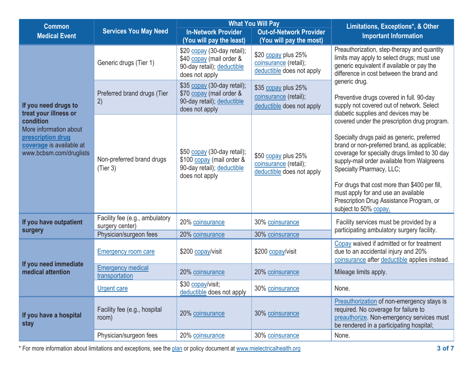| <b>Common</b>                                                                                                   | <b>Services You May Need</b>                                                |                                                                                                          | <b>What You Will Pay</b>                                                  | Limitations, Exceptions*, & Other                                                                                                                                                                                                                                                                                                                                                                                                   |  |
|-----------------------------------------------------------------------------------------------------------------|-----------------------------------------------------------------------------|----------------------------------------------------------------------------------------------------------|---------------------------------------------------------------------------|-------------------------------------------------------------------------------------------------------------------------------------------------------------------------------------------------------------------------------------------------------------------------------------------------------------------------------------------------------------------------------------------------------------------------------------|--|
| <b>Medical Event</b>                                                                                            |                                                                             | <b>In-Network Provider</b><br>(You will pay the least)                                                   | <b>Out-of-Network Provider</b><br>(You will pay the most)                 | <b>Important Information</b>                                                                                                                                                                                                                                                                                                                                                                                                        |  |
|                                                                                                                 | Generic drugs (Tier 1)                                                      | \$20 copay (30-day retail);<br>\$40 copay (mail order &<br>90-day retail); deductible<br>does not apply  | \$20 copay plus 25%<br>coinsurance (retail);<br>deductible does not apply | Preauthorization, step-therapy and quantity<br>limits may apply to select drugs; must use<br>generic equivalent if available or pay the<br>difference in cost between the brand and                                                                                                                                                                                                                                                 |  |
| If you need drugs to<br>treat your illness or                                                                   | Preferred brand drugs (Tier<br>2)                                           | \$35 copay (30-day retail);<br>\$70 copay (mail order &<br>90-day retail); deductible<br>does not apply  | \$35 copay plus 25%<br>coinsurance (retail),<br>deductible does not apply | generic drug.<br>Preventive drugs covered in full. 90-day<br>supply not covered out of network. Select<br>diabetic supplies and devices may be                                                                                                                                                                                                                                                                                      |  |
| condition<br>More information about<br>prescription drug<br>coverage is available at<br>www.bcbsm.com/druglists | Non-preferred brand drugs<br>(Tier 3)                                       | \$50 copay (30-day retail);<br>\$100 copay (mail order &<br>90-day retail); deductible<br>does not apply | \$50 copay plus 25%<br>coinsurance (retail);<br>deductible does not apply | covered under the prescription drug program.<br>Specialty drugs paid as generic, preferred<br>brand or non-preferred brand, as applicable;<br>coverage for specialty drugs limited to 30 day<br>supply-mail order available from Walgreens<br>Specialty Pharmacy, LLC;<br>For drugs that cost more than \$400 per fill,<br>must apply for and use an available<br>Prescription Drug Assistance Program, or<br>subject to 50% copay. |  |
| If you have outpatient<br>surgery                                                                               | Facility fee (e.g., ambulatory<br>surgery center)<br>Physician/surgeon fees | 20% coinsurance<br>20% coinsurance                                                                       | 30% coinsurance<br>30% coinsurance                                        | Facility services must be provided by a<br>participating ambulatory surgery facility.                                                                                                                                                                                                                                                                                                                                               |  |
| If you need immediate                                                                                           | <b>Emergency room care</b>                                                  | \$200 copay/visit                                                                                        | \$200 copay/visit                                                         | Copay waived if admitted or for treatment<br>due to an accidental injury and 20%<br>coinsurance after deductible applies instead.                                                                                                                                                                                                                                                                                                   |  |
| medical attention                                                                                               | <b>Emergency medical</b><br>transportation                                  | 20% coinsurance                                                                                          | 20% coinsurance                                                           | Mileage limits apply.                                                                                                                                                                                                                                                                                                                                                                                                               |  |
|                                                                                                                 | <b>Urgent care</b>                                                          | \$30 copay/visit;<br>deductible does not apply                                                           | 30% coinsurance                                                           | None.                                                                                                                                                                                                                                                                                                                                                                                                                               |  |
| If you have a hospital<br>stay                                                                                  | Facility fee (e.g., hospital<br>room)                                       | 20% coinsurance                                                                                          | 30% coinsurance                                                           | Preauthorization of non-emergency stays is<br>required. No coverage for failure to<br>preauthorize. Non-emergency services must<br>be rendered in a participating hospital;                                                                                                                                                                                                                                                         |  |
|                                                                                                                 | Physician/surgeon fees                                                      | 20% coinsurance                                                                                          | 30% coinsurance                                                           | None.                                                                                                                                                                                                                                                                                                                                                                                                                               |  |

\* For more information about limitations and exceptions, see the plan or policy document at www.mielectricalhealth.org **3 of 7**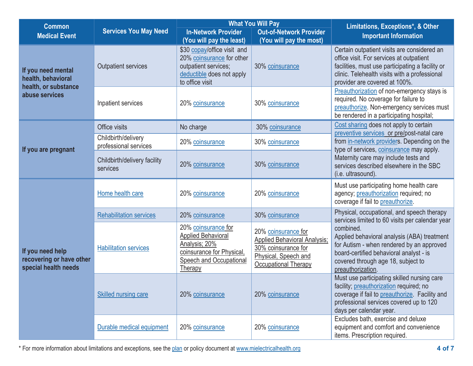| <b>Common</b>                                                        |                                              |                                                                                                                                      | <b>What You Will Pay</b>                                                                                                                 | Limitations, Exceptions*, & Other                                                                                                                                                                                             |  |
|----------------------------------------------------------------------|----------------------------------------------|--------------------------------------------------------------------------------------------------------------------------------------|------------------------------------------------------------------------------------------------------------------------------------------|-------------------------------------------------------------------------------------------------------------------------------------------------------------------------------------------------------------------------------|--|
| <b>Medical Event</b>                                                 | <b>Services You May Need</b>                 | <b>In-Network Provider</b><br>(You will pay the least)                                                                               | <b>Out-of-Network Provider</b><br>(You will pay the most)                                                                                | <b>Important Information</b>                                                                                                                                                                                                  |  |
| If you need mental<br>health, behavioral                             | <b>Outpatient services</b>                   | \$30 copay/office visit and<br>20% coinsurance for other<br>outpatient services;<br>deductible does not apply<br>to office visit     | 30% coinsurance                                                                                                                          | Certain outpatient visits are considered an<br>office visit. For services at outpatient<br>facilities, must use participating a facility or<br>clinic. Telehealth visits with a professional<br>provider are covered at 100%. |  |
| health, or substance<br>abuse services                               | Inpatient services                           | 20% coinsurance                                                                                                                      | 30% coinsurance                                                                                                                          | Preauthorization of non-emergency stays is<br>required. No coverage for failure to<br>preauthorize. Non-emergency services must<br>be rendered in a participating hospital;                                                   |  |
|                                                                      | Office visits                                | No charge                                                                                                                            | 30% coinsurance                                                                                                                          | Cost sharing does not apply to certain                                                                                                                                                                                        |  |
| If you are pregnant                                                  | Childbirth/delivery<br>professional services | 20% coinsurance                                                                                                                      | 30% coinsurance                                                                                                                          | preventive services or pre/post-natal care<br>from in-network providers. Depending on the<br>type of services, coinsurance may apply.                                                                                         |  |
|                                                                      | Childbirth/delivery facility<br>services     | 20% coinsurance                                                                                                                      | 30% coinsurance                                                                                                                          | Maternity care may include tests and<br>services described elsewhere in the SBC<br>(i.e. ultrasound).                                                                                                                         |  |
|                                                                      | Home health care                             | 20% coinsurance                                                                                                                      | 20% coinsurance                                                                                                                          | Must use participating home health care<br>agency; preauthorization required; no<br>coverage if fail to preauthorize.                                                                                                         |  |
|                                                                      | <b>Rehabilitation services</b>               | 20% coinsurance                                                                                                                      | 30% coinsurance                                                                                                                          | Physical, occupational, and speech therapy<br>services limited to 60 visits per calendar year                                                                                                                                 |  |
| If you need help<br>recovering or have other<br>special health needs | <b>Habilitation services</b>                 | 20% coinsurance for<br><b>Applied Behavioral</b><br>Analysis; 20%<br>coinsurance for Physical,<br>Speech and Occupational<br>Therapy | 20% coinsurance for<br><b>Applied Behavioral Analysis;</b><br>30% coinsurance for<br>Physical, Speech and<br><b>Occupational Therapy</b> | combined.<br>Applied behavioral analysis (ABA) treatment<br>for Autism - when rendered by an approved<br>board-certified behavioral analyst - is<br>covered through age 18, subject to<br>preauthorization.                   |  |
|                                                                      | Skilled nursing care                         | 20% coinsurance                                                                                                                      | 20% coinsurance                                                                                                                          | Must use participating skilled nursing care<br>facility; preauthorization required; no<br>coverage if fail to preauthorize. Facility and<br>professional services covered up to 120<br>days per calendar year.                |  |
|                                                                      | Durable medical equipment                    | 20% coinsurance                                                                                                                      | 20% coinsurance                                                                                                                          | Excludes bath, exercise and deluxe<br>equipment and comfort and convenience<br>items. Prescription required.                                                                                                                  |  |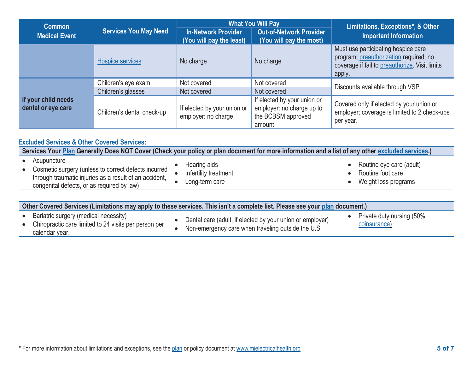| <b>Common</b>                             | <b>Services You May Need</b> |                                                        | <b>What You Will Pay</b>                                                                 | Limitations, Exceptions*, & Other                                                                                                         |  |
|-------------------------------------------|------------------------------|--------------------------------------------------------|------------------------------------------------------------------------------------------|-------------------------------------------------------------------------------------------------------------------------------------------|--|
| <b>Medical Event</b>                      |                              | <b>In-Network Provider</b><br>(You will pay the least) | <b>Out-of-Network Provider</b><br>(You will pay the most)                                | <b>Important Information</b>                                                                                                              |  |
|                                           | Hospice services             | No charge                                              | No charge                                                                                | Must use participating hospice care<br>program; preauthorization required; no<br>coverage if fail to preauthorize. Visit limits<br>apply. |  |
|                                           | Children's eye exam          | Not covered                                            | Not covered                                                                              |                                                                                                                                           |  |
|                                           | Children's glasses           | Not covered                                            | Not covered                                                                              | Discounts available through VSP.                                                                                                          |  |
| If your child needs<br>dental or eye care | Children's dental check-up   | If elected by your union or<br>employer: no charge     | If elected by your union or<br>employer: no charge up to<br>the BCBSM approved<br>amount | Covered only if elected by your union or<br>employer; coverage is limited to 2 check-ups<br>per year.                                     |  |

## **Excluded Services & Other Covered Services:**

**Services Your Plan Generally Does NOT Cover (Check your policy or plan document for more information and a list of any other excluded services.)**

- Acupuncture
- Cosmetic surgery (unless to correct defects incurred through traumatic injuries as a result of an accident, congenital defects, or as required by law)
- Hearing aids
- Infertility treatment
- Long-term care
- Routine eye care (adult)
- Routine foot care
- Weight loss programs

| Other Covered Services (Limitations may apply to these services. This isn't a complete list. Please see your plan document.) |                                                                                                                  |  |                                                                                                                 |  |                                           |
|------------------------------------------------------------------------------------------------------------------------------|------------------------------------------------------------------------------------------------------------------|--|-----------------------------------------------------------------------------------------------------------------|--|-------------------------------------------|
|                                                                                                                              | Bariatric surgery (medical necessity)<br>Chiropractic care limited to 24 visits per person per<br>calendar year. |  | Dental care (adult, if elected by your union or employer)<br>Non-emergency care when traveling outside the U.S. |  | Private duty nursing (50%<br>coinsurance) |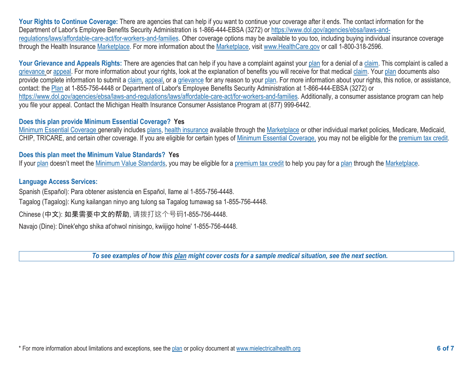Your Rights to Continue Coverage: There are agencies that can help if you want to continue your coverage after it ends. The contact information for the Department of Labor's Employee Benefits Security Administration is 1-866-444-EBSA (3272) or https://www.dol.gov/agencies/ebsa/laws-andregulations/laws/affordable-care-act/for-workers-and-families. Other coverage options may be available to you too, including buying individual insurance coverage through the Health Insurance Marketplace. For more information about the Marketplace, visit www.HealthCare.gov or call 1-800-318-2596.

Your Grievance and Appeals Rights: There are agencies that can help if you have a complaint against your plan for a denial of a claim. This complaint is called a grievance or appeal. For more information about your rights, look at the explanation of benefits you will receive for that medical claim. Your plan documents also provide complete information to submit a claim, appeal, or a grievance for any reason to your plan. For more information about your rights, this notice, or assistance, contact: the Plan at 1-855-756-4448 or Department of Labor's Employee Benefits Security Administration at 1-866-444-EBSA (3272) or https://www.dol.gov/agencies/ebsa/laws-and-regulations/laws/affordable-care-act/for-workers-and-families. Additionally, a consumer assistance program can help you file your appeal. Contact the Michigan Health Insurance Consumer Assistance Program at (877) 999-6442.

#### **Does this plan provide Minimum Essential Coverage? Yes**

Minimum Essential Coverage generally includes plans, health insurance available through the Marketplace or other individual market policies, Medicare, Medicaid, CHIP, TRICARE, and certain other coverage. If you are eligible for certain types of Minimum Essential Coverage, you may not be eligible for the premium tax credit.

## **Does this plan meet the Minimum Value Standards? Yes**

If your plan doesn't meet the Minimum Value Standards, you may be eligible for a premium tax credit to help you pay for a plan through the Marketplace.

## **Language Access Services:**

Spanish (Español): Para obtener asistencia en Español, llame al 1-855-756-4448.

Tagalog (Tagalog): Kung kailangan ninyo ang tulong sa Tagalog tumawag sa 1-855-756-4448.

Chinese (中文): 如果需要中文的帮助, 请拨打这个号码1-855-756-4448.

Navajo (Dine): Dinek'ehgo shika at'ohwol ninisingo, kwiijigo holne' 1-855-756-4448.

*To see examples of how this plan might cover costs for a sample medical situation, see the next section.*